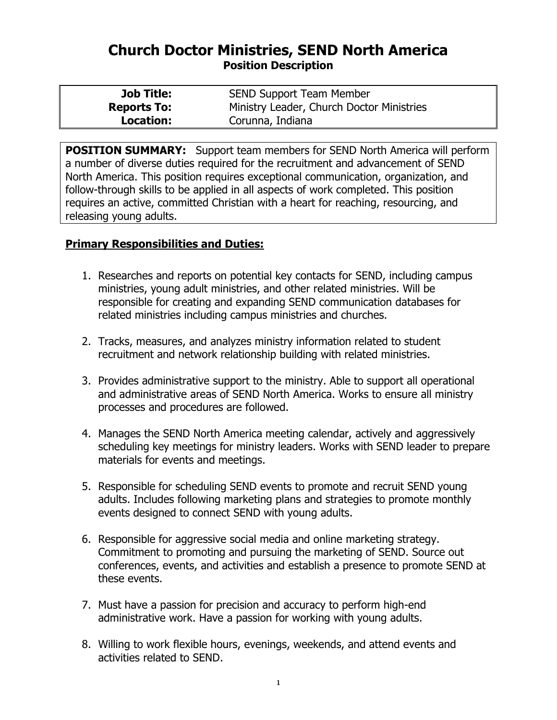## **Church Doctor Ministries, SEND North America Position Description**

| <b>Job Title:</b>  | <b>SEND Support Team Member</b>           |
|--------------------|-------------------------------------------|
| <b>Reports To:</b> | Ministry Leader, Church Doctor Ministries |
| Location:          | Corunna, Indiana                          |

**POSITION SUMMARY:** Support team members for SEND North America will perform a number of diverse duties required for the recruitment and advancement of SEND North America. This position requires exceptional communication, organization, and follow-through skills to be applied in all aspects of work completed. This position requires an active, committed Christian with a heart for reaching, resourcing, and releasing young adults.

## **Primary Responsibilities and Duties:**

- 1. Researches and reports on potential key contacts for SEND, including campus ministries, young adult ministries, and other related ministries. Will be responsible for creating and expanding SEND communication databases for related ministries including campus ministries and churches.
- 2. Tracks, measures, and analyzes ministry information related to student recruitment and network relationship building with related ministries.
- 3. Provides administrative support to the ministry. Able to support all operational and administrative areas of SEND North America. Works to ensure all ministry processes and procedures are followed.
- 4. Manages the SEND North America meeting calendar, actively and aggressively scheduling key meetings for ministry leaders. Works with SEND leader to prepare materials for events and meetings.
- 5. Responsible for scheduling SEND events to promote and recruit SEND young adults. Includes following marketing plans and strategies to promote monthly events designed to connect SEND with young adults.
- 6. Responsible for aggressive social media and online marketing strategy. Commitment to promoting and pursuing the marketing of SEND. Source out conferences, events, and activities and establish a presence to promote SEND at these events.
- 7. Must have a passion for precision and accuracy to perform high-end administrative work. Have a passion for working with young adults.
- 8. Willing to work flexible hours, evenings, weekends, and attend events and activities related to SEND.